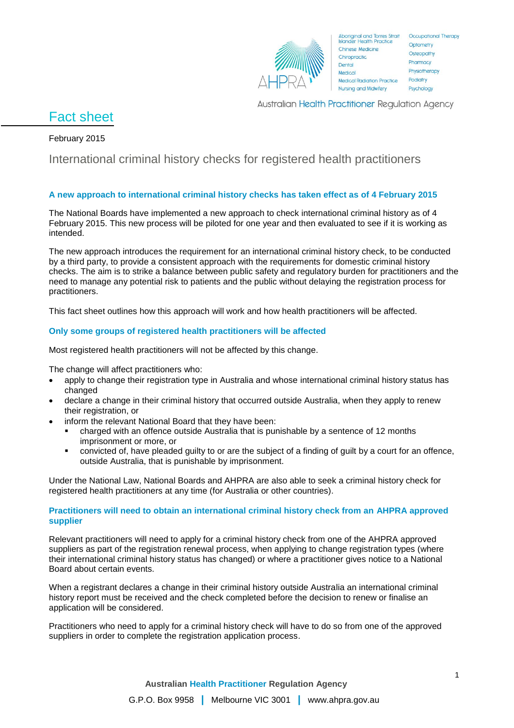

Aboriginal and Torres Strait Occupational Therapy<br>Islander Health Practice Chinese Medicine Chiropractic. Dental Medical **Medical Radiation Practice Nursing and Midwifery** 

Optometry Osteopathy Pharmacy Physiotherapy Podiatry Psychology

Australian Health Practitioner Regulation Agency

# Fact sheet

# February 2015

# International criminal history checks for registered health practitioners

# **A new approach to international criminal history checks has taken effect as of 4 February 2015**

The National Boards have implemented a new approach to check international criminal history as of 4 February 2015. This new process will be piloted for one year and then evaluated to see if it is working as intended.

The new approach introduces the requirement for an international criminal history check, to be conducted by a third party, to provide a consistent approach with the requirements for domestic criminal history checks. The aim is to strike a balance between public safety and regulatory burden for practitioners and the need to manage any potential risk to patients and the public without delaying the registration process for practitioners.

This fact sheet outlines how this approach will work and how health practitioners will be affected.

### **Only some groups of registered health practitioners will be affected**

Most registered health practitioners will not be affected by this change.

The change will affect practitioners who:

- apply to change their registration type in Australia and whose international criminal history status has changed
- declare a change in their criminal history that occurred outside Australia, when they apply to renew their registration, or
	- inform the relevant National Board that they have been:
		- charged with an offence outside Australia that is punishable by a sentence of 12 months imprisonment or more, or
		- convicted of, have pleaded guilty to or are the subject of a finding of guilt by a court for an offence, outside Australia, that is punishable by imprisonment.

Under the National Law, National Boards and AHPRA are also able to seek a criminal history check for registered health practitioners at any time (for Australia or other countries).

#### **Practitioners will need to obtain an international criminal history check from an AHPRA approved supplier**

Relevant practitioners will need to apply for a criminal history check from one of the AHPRA approved suppliers as part of the registration renewal process, when applying to change registration types (where their international criminal history status has changed) or where a practitioner gives notice to a National Board about certain events.

When a registrant declares a change in their criminal history outside Australia an international criminal history report must be received and the check completed before the decision to renew or finalise an application will be considered.

Practitioners who need to apply for a criminal history check will have to do so from one of the approved suppliers in order to complete the registration application process.